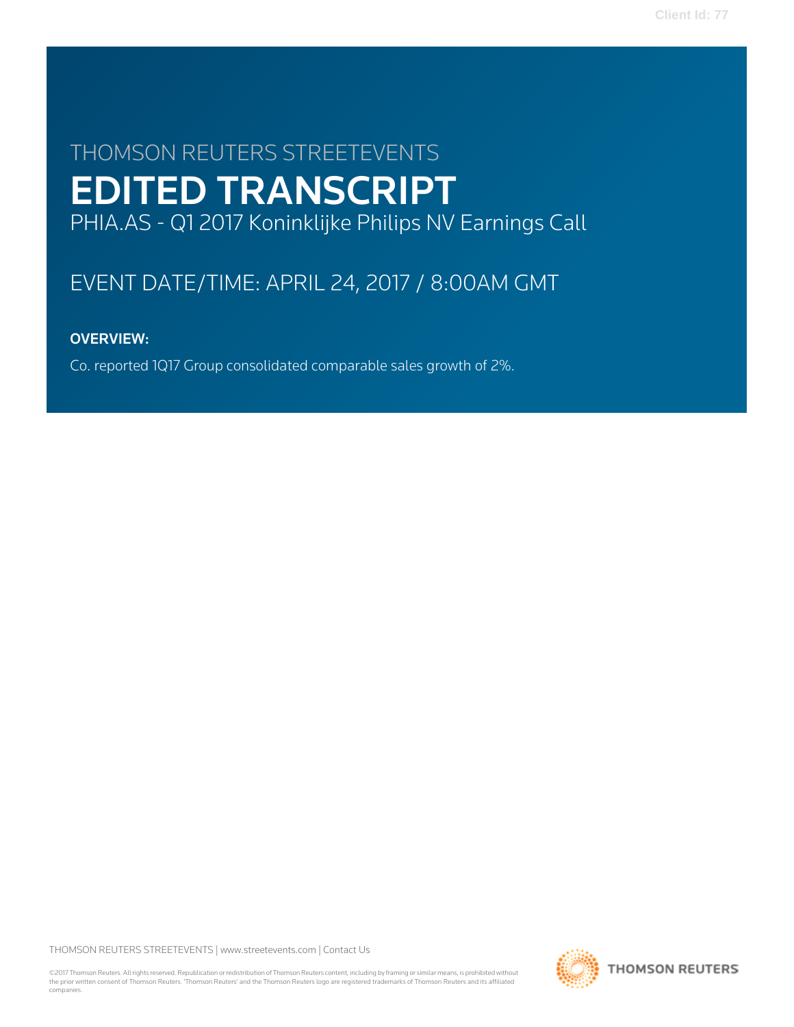# THOMSON REUTERS STREETEVENTS EDITED TRANSCRIPT PHIA.AS - Q1 2017 Koninklijke Philips NV Earnings Call

# EVENT DATE/TIME: APRIL 24, 2017 / 8:00AM GMT

# OVERVIEW:

Co. reported 1Q17 Group consolidated comparable sales growth of 2%.

THOMSON REUTERS STREETEVENTS | [www.streetevents.com](http://www.streetevents.com) | [Contact Us](http://www010.streetevents.com/contact.asp)

©2017 Thomson Reuters. All rights reserved. Republication or redistribution of Thomson Reuters content, including by framing or similar means, is prohibited without the prior written consent of Thomson Reuters. 'Thomson Reuters' and the Thomson Reuters logo are registered trademarks of Thomson Reuters and its affiliated companies.

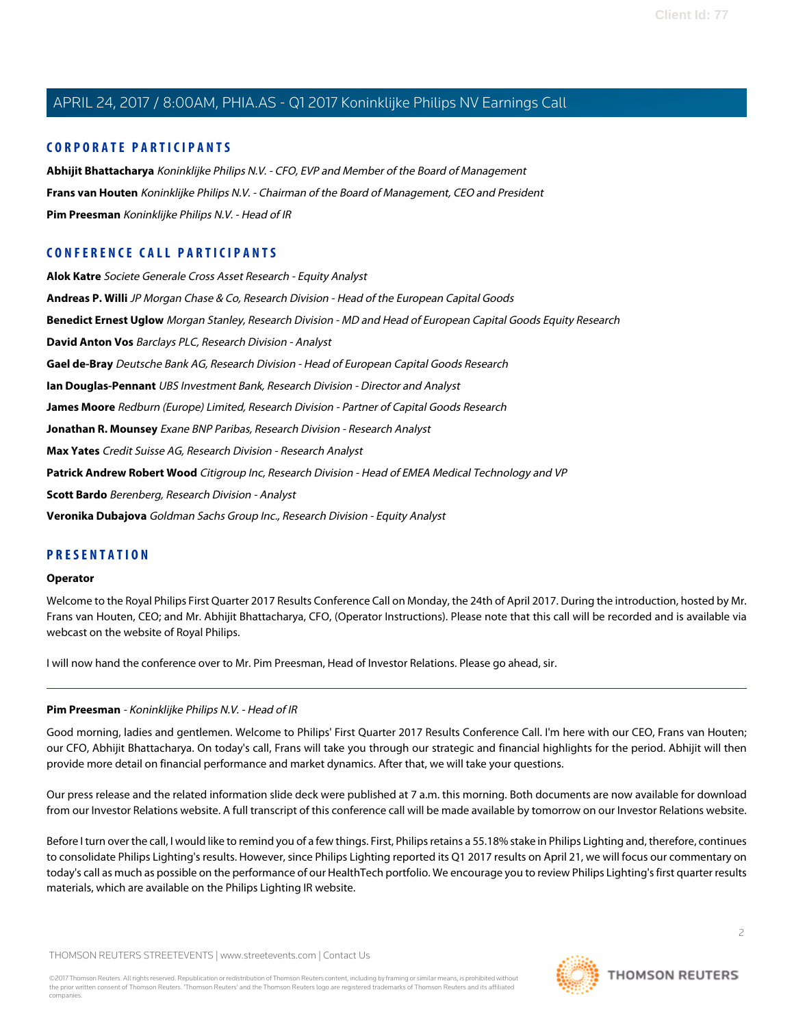# **CORPORATE PARTICIPANTS**

**[Abhijit Bhattacharya](#page-4-0)** Koninklijke Philips N.V. - CFO, EVP and Member of the Board of Management **[Frans van Houten](#page-2-0)** Koninklijke Philips N.V. - Chairman of the Board of Management, CEO and President **[Pim Preesman](#page-1-0)** Koninklijke Philips N.V. - Head of IR

# **CONFERENCE CALL PARTICIPANTS**

**[Alok Katre](#page-11-0)** Societe Generale Cross Asset Research - Equity Analyst **[Andreas P. Willi](#page-7-0)** JP Morgan Chase & Co, Research Division - Head of the European Capital Goods **[Benedict Ernest Uglow](#page-15-0)** Morgan Stanley, Research Division - MD and Head of European Capital Goods Equity Research **[David Anton Vos](#page-12-0)** Barclays PLC, Research Division - Analyst **[Gael de-Bray](#page-13-0)** Deutsche Bank AG, Research Division - Head of European Capital Goods Research **[Ian Douglas-Pennant](#page-8-0)** UBS Investment Bank, Research Division - Director and Analyst **[James Moore](#page-14-0)** Redburn (Europe) Limited, Research Division - Partner of Capital Goods Research **[Jonathan R. Mounsey](#page-17-0)** Exane BNP Paribas, Research Division - Research Analyst **[Max Yates](#page-9-0)** Credit Suisse AG, Research Division - Research Analyst **[Patrick Andrew Robert Wood](#page-6-0)** Citigroup Inc, Research Division - Head of EMEA Medical Technology and VP **[Scott Bardo](#page-10-0)** Berenberg, Research Division - Analyst **[Veronika Dubajova](#page-7-1)** Goldman Sachs Group Inc., Research Division - Equity Analyst

# **PRESENTATION**

#### **Operator**

Welcome to the Royal Philips First Quarter 2017 Results Conference Call on Monday, the 24th of April 2017. During the introduction, hosted by Mr. Frans van Houten, CEO; and Mr. Abhijit Bhattacharya, CFO, (Operator Instructions). Please note that this call will be recorded and is available via webcast on the website of Royal Philips.

<span id="page-1-0"></span>I will now hand the conference over to Mr. Pim Preesman, Head of Investor Relations. Please go ahead, sir.

## **Pim Preesman** - Koninklijke Philips N.V. - Head of IR

Good morning, ladies and gentlemen. Welcome to Philips' First Quarter 2017 Results Conference Call. I'm here with our CEO, Frans van Houten; our CFO, Abhijit Bhattacharya. On today's call, Frans will take you through our strategic and financial highlights for the period. Abhijit will then provide more detail on financial performance and market dynamics. After that, we will take your questions.

Our press release and the related information slide deck were published at 7 a.m. this morning. Both documents are now available for download from our Investor Relations website. A full transcript of this conference call will be made available by tomorrow on our Investor Relations website.

Before I turn over the call, I would like to remind you of a few things. First, Philips retains a 55.18% stake in Philips Lighting and, therefore, continues to consolidate Philips Lighting's results. However, since Philips Lighting reported its Q1 2017 results on April 21, we will focus our commentary on today's call as much as possible on the performance of our HealthTech portfolio. We encourage you to review Philips Lighting's first quarter results materials, which are available on the Philips Lighting IR website.

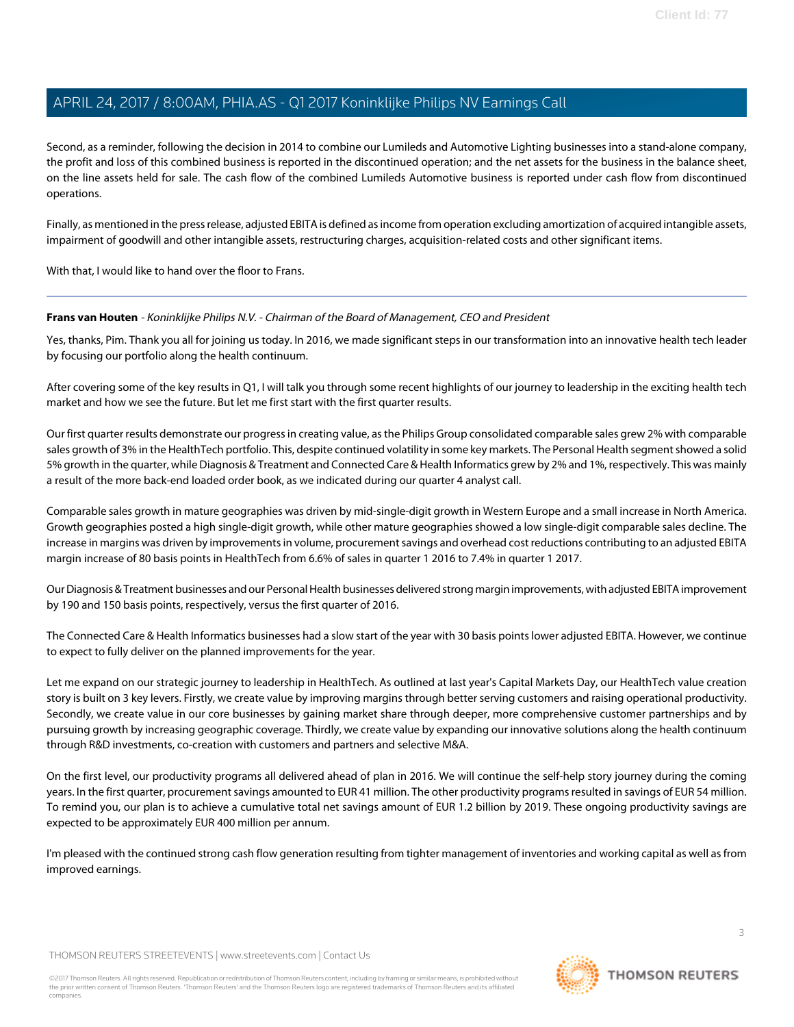Second, as a reminder, following the decision in 2014 to combine our Lumileds and Automotive Lighting businesses into a stand-alone company, the profit and loss of this combined business is reported in the discontinued operation; and the net assets for the business in the balance sheet, on the line assets held for sale. The cash flow of the combined Lumileds Automotive business is reported under cash flow from discontinued operations.

Finally, as mentioned in the press release, adjusted EBITA is defined as income from operation excluding amortization of acquired intangible assets, impairment of goodwill and other intangible assets, restructuring charges, acquisition-related costs and other significant items.

<span id="page-2-0"></span>With that, I would like to hand over the floor to Frans.

## **Frans van Houten** - Koninklijke Philips N.V. - Chairman of the Board of Management, CEO and President

Yes, thanks, Pim. Thank you all for joining us today. In 2016, we made significant steps in our transformation into an innovative health tech leader by focusing our portfolio along the health continuum.

After covering some of the key results in Q1, I will talk you through some recent highlights of our journey to leadership in the exciting health tech market and how we see the future. But let me first start with the first quarter results.

Our first quarter results demonstrate our progress in creating value, as the Philips Group consolidated comparable sales grew 2% with comparable sales growth of 3% in the HealthTech portfolio. This, despite continued volatility in some key markets. The Personal Health segment showed a solid 5% growth in the quarter, while Diagnosis & Treatment and Connected Care & Health Informatics grew by 2% and 1%, respectively. This was mainly a result of the more back-end loaded order book, as we indicated during our quarter 4 analyst call.

Comparable sales growth in mature geographies was driven by mid-single-digit growth in Western Europe and a small increase in North America. Growth geographies posted a high single-digit growth, while other mature geographies showed a low single-digit comparable sales decline. The increase in margins was driven by improvements in volume, procurement savings and overhead cost reductions contributing to an adjusted EBITA margin increase of 80 basis points in HealthTech from 6.6% of sales in quarter 1 2016 to 7.4% in quarter 1 2017.

Our Diagnosis & Treatment businesses and our Personal Health businesses delivered strong margin improvements, with adjusted EBITA improvement by 190 and 150 basis points, respectively, versus the first quarter of 2016.

The Connected Care & Health Informatics businesses had a slow start of the year with 30 basis points lower adjusted EBITA. However, we continue to expect to fully deliver on the planned improvements for the year.

Let me expand on our strategic journey to leadership in HealthTech. As outlined at last year's Capital Markets Day, our HealthTech value creation story is built on 3 key levers. Firstly, we create value by improving margins through better serving customers and raising operational productivity. Secondly, we create value in our core businesses by gaining market share through deeper, more comprehensive customer partnerships and by pursuing growth by increasing geographic coverage. Thirdly, we create value by expanding our innovative solutions along the health continuum through R&D investments, co-creation with customers and partners and selective M&A.

On the first level, our productivity programs all delivered ahead of plan in 2016. We will continue the self-help story journey during the coming years. In the first quarter, procurement savings amounted to EUR 41 million. The other productivity programs resulted in savings of EUR 54 million. To remind you, our plan is to achieve a cumulative total net savings amount of EUR 1.2 billion by 2019. These ongoing productivity savings are expected to be approximately EUR 400 million per annum.

I'm pleased with the continued strong cash flow generation resulting from tighter management of inventories and working capital as well as from improved earnings.

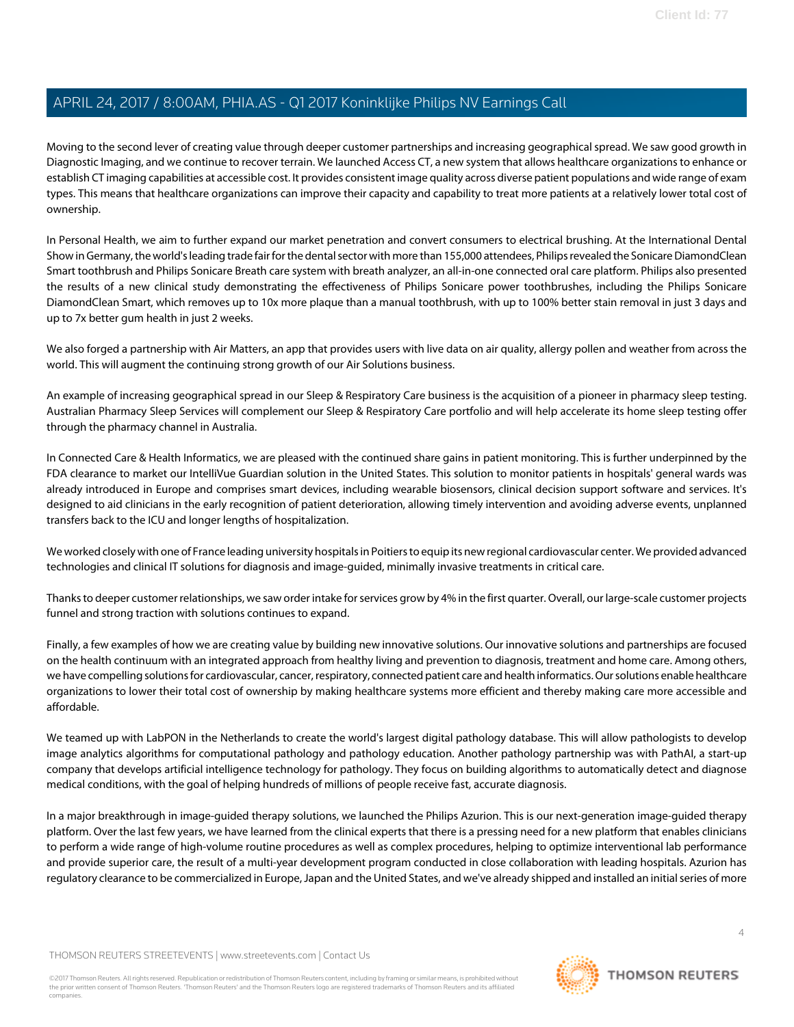Moving to the second lever of creating value through deeper customer partnerships and increasing geographical spread. We saw good growth in Diagnostic Imaging, and we continue to recover terrain. We launched Access CT, a new system that allows healthcare organizations to enhance or establish CT imaging capabilities at accessible cost. It provides consistent image quality across diverse patient populations and wide range of exam types. This means that healthcare organizations can improve their capacity and capability to treat more patients at a relatively lower total cost of ownership.

In Personal Health, we aim to further expand our market penetration and convert consumers to electrical brushing. At the International Dental Show in Germany, the world's leading trade fair for the dental sector with more than 155,000 attendees, Philips revealed the Sonicare DiamondClean Smart toothbrush and Philips Sonicare Breath care system with breath analyzer, an all-in-one connected oral care platform. Philips also presented the results of a new clinical study demonstrating the effectiveness of Philips Sonicare power toothbrushes, including the Philips Sonicare DiamondClean Smart, which removes up to 10x more plaque than a manual toothbrush, with up to 100% better stain removal in just 3 days and up to 7x better gum health in just 2 weeks.

We also forged a partnership with Air Matters, an app that provides users with live data on air quality, allergy pollen and weather from across the world. This will augment the continuing strong growth of our Air Solutions business.

An example of increasing geographical spread in our Sleep & Respiratory Care business is the acquisition of a pioneer in pharmacy sleep testing. Australian Pharmacy Sleep Services will complement our Sleep & Respiratory Care portfolio and will help accelerate its home sleep testing offer through the pharmacy channel in Australia.

In Connected Care & Health Informatics, we are pleased with the continued share gains in patient monitoring. This is further underpinned by the FDA clearance to market our IntelliVue Guardian solution in the United States. This solution to monitor patients in hospitals' general wards was already introduced in Europe and comprises smart devices, including wearable biosensors, clinical decision support software and services. It's designed to aid clinicians in the early recognition of patient deterioration, allowing timely intervention and avoiding adverse events, unplanned transfers back to the ICU and longer lengths of hospitalization.

We worked closely with one of France leading university hospitals in Poitiers to equip its new regional cardiovascular center. We provided advanced technologies and clinical IT solutions for diagnosis and image-guided, minimally invasive treatments in critical care.

Thanks to deeper customer relationships, we saw order intake for services grow by 4% in the first quarter. Overall, our large-scale customer projects funnel and strong traction with solutions continues to expand.

Finally, a few examples of how we are creating value by building new innovative solutions. Our innovative solutions and partnerships are focused on the health continuum with an integrated approach from healthy living and prevention to diagnosis, treatment and home care. Among others, we have compelling solutions for cardiovascular, cancer, respiratory, connected patient care and health informatics. Our solutions enable healthcare organizations to lower their total cost of ownership by making healthcare systems more efficient and thereby making care more accessible and affordable.

We teamed up with LabPON in the Netherlands to create the world's largest digital pathology database. This will allow pathologists to develop image analytics algorithms for computational pathology and pathology education. Another pathology partnership was with PathAI, a start-up company that develops artificial intelligence technology for pathology. They focus on building algorithms to automatically detect and diagnose medical conditions, with the goal of helping hundreds of millions of people receive fast, accurate diagnosis.

In a major breakthrough in image-guided therapy solutions, we launched the Philips Azurion. This is our next-generation image-guided therapy platform. Over the last few years, we have learned from the clinical experts that there is a pressing need for a new platform that enables clinicians to perform a wide range of high-volume routine procedures as well as complex procedures, helping to optimize interventional lab performance and provide superior care, the result of a multi-year development program conducted in close collaboration with leading hospitals. Azurion has regulatory clearance to be commercialized in Europe, Japan and the United States, and we've already shipped and installed an initial series of more

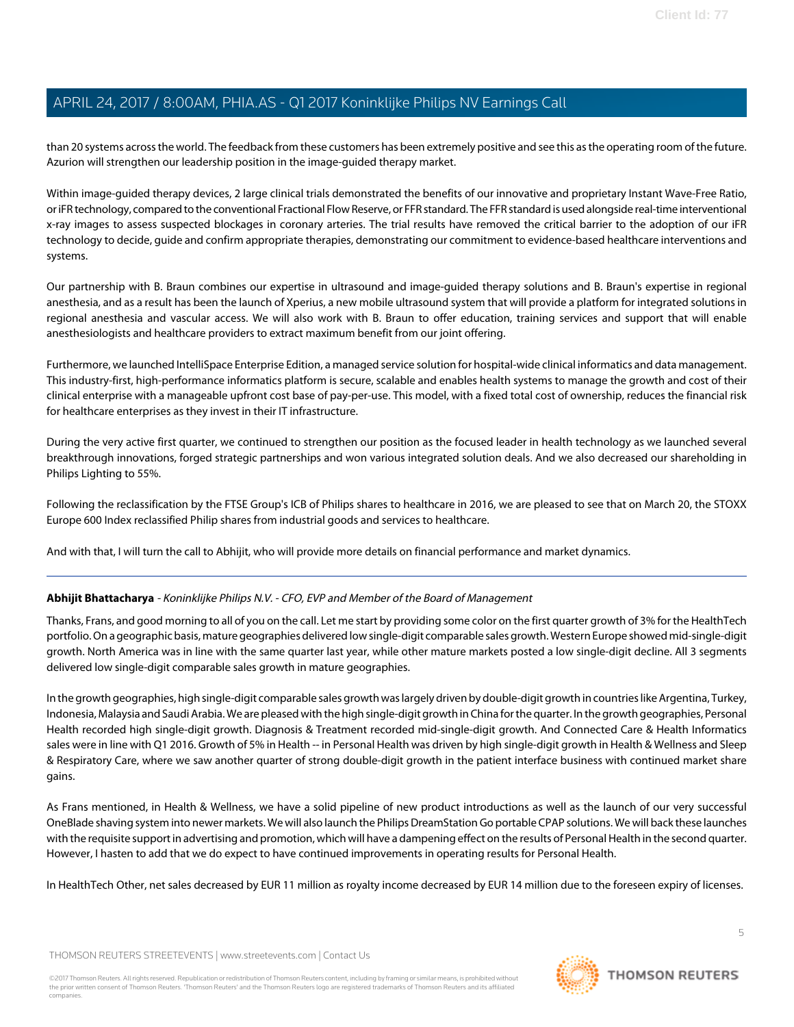than 20 systems across the world. The feedback from these customers has been extremely positive and see this as the operating room of the future. Azurion will strengthen our leadership position in the image-guided therapy market.

Within image-guided therapy devices, 2 large clinical trials demonstrated the benefits of our innovative and proprietary Instant Wave-Free Ratio, or iFR technology, compared to the conventional Fractional Flow Reserve, or FFR standard. The FFR standard is used alongside real-time interventional x-ray images to assess suspected blockages in coronary arteries. The trial results have removed the critical barrier to the adoption of our iFR technology to decide, guide and confirm appropriate therapies, demonstrating our commitment to evidence-based healthcare interventions and systems.

Our partnership with B. Braun combines our expertise in ultrasound and image-guided therapy solutions and B. Braun's expertise in regional anesthesia, and as a result has been the launch of Xperius, a new mobile ultrasound system that will provide a platform for integrated solutions in regional anesthesia and vascular access. We will also work with B. Braun to offer education, training services and support that will enable anesthesiologists and healthcare providers to extract maximum benefit from our joint offering.

Furthermore, we launched IntelliSpace Enterprise Edition, a managed service solution for hospital-wide clinical informatics and data management. This industry-first, high-performance informatics platform is secure, scalable and enables health systems to manage the growth and cost of their clinical enterprise with a manageable upfront cost base of pay-per-use. This model, with a fixed total cost of ownership, reduces the financial risk for healthcare enterprises as they invest in their IT infrastructure.

During the very active first quarter, we continued to strengthen our position as the focused leader in health technology as we launched several breakthrough innovations, forged strategic partnerships and won various integrated solution deals. And we also decreased our shareholding in Philips Lighting to 55%.

Following the reclassification by the FTSE Group's ICB of Philips shares to healthcare in 2016, we are pleased to see that on March 20, the STOXX Europe 600 Index reclassified Philip shares from industrial goods and services to healthcare.

<span id="page-4-0"></span>And with that, I will turn the call to Abhijit, who will provide more details on financial performance and market dynamics.

# **Abhijit Bhattacharya** - Koninklijke Philips N.V. - CFO, EVP and Member of the Board of Management

Thanks, Frans, and good morning to all of you on the call. Let me start by providing some color on the first quarter growth of 3% for the HealthTech portfolio. On a geographic basis, mature geographies delivered low single-digit comparable sales growth. Western Europe showed mid-single-digit growth. North America was in line with the same quarter last year, while other mature markets posted a low single-digit decline. All 3 segments delivered low single-digit comparable sales growth in mature geographies.

In the growth geographies, high single-digit comparable sales growth was largely driven by double-digit growth in countries like Argentina, Turkey, Indonesia, Malaysia and Saudi Arabia. We are pleased with the high single-digit growth in China for the quarter. In the growth geographies, Personal Health recorded high single-digit growth. Diagnosis & Treatment recorded mid-single-digit growth. And Connected Care & Health Informatics sales were in line with Q1 2016. Growth of 5% in Health -- in Personal Health was driven by high single-digit growth in Health & Wellness and Sleep & Respiratory Care, where we saw another quarter of strong double-digit growth in the patient interface business with continued market share gains.

As Frans mentioned, in Health & Wellness, we have a solid pipeline of new product introductions as well as the launch of our very successful OneBlade shaving system into newer markets. We will also launch the Philips DreamStation Go portable CPAP solutions. We will back these launches with the requisite support in advertising and promotion, which will have a dampening effect on the results of Personal Health in the second quarter. However, I hasten to add that we do expect to have continued improvements in operating results for Personal Health.

In HealthTech Other, net sales decreased by EUR 11 million as royalty income decreased by EUR 14 million due to the foreseen expiry of licenses.

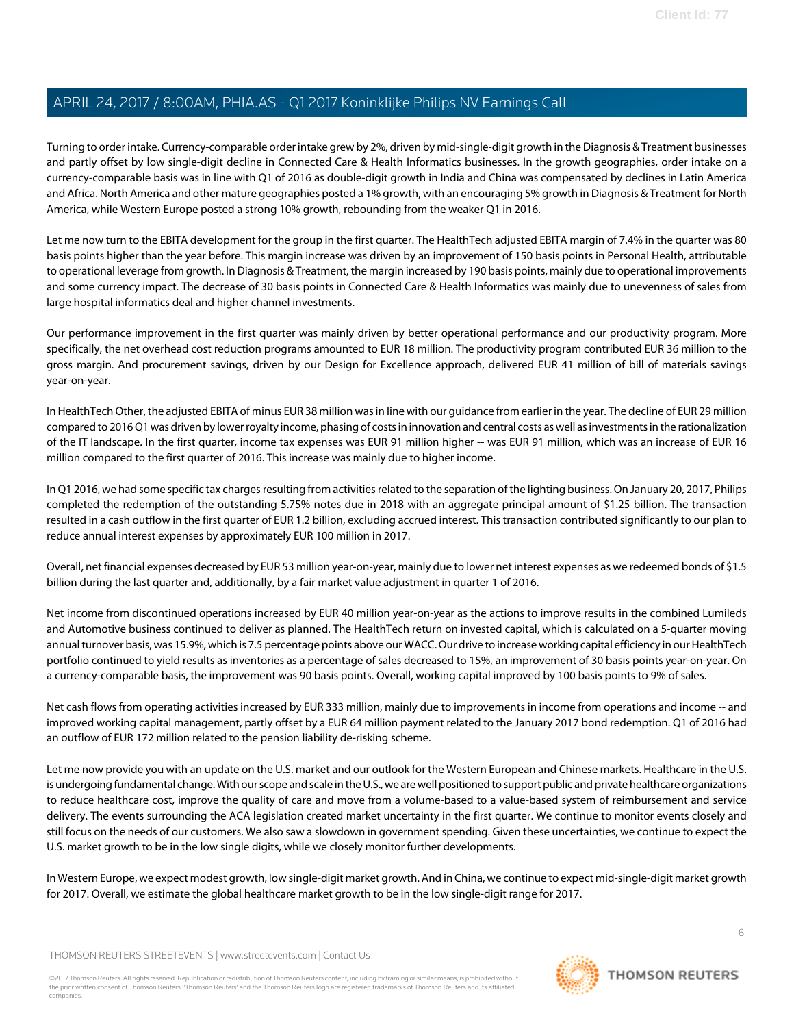Turning to order intake. Currency-comparable order intake grew by 2%, driven by mid-single-digit growth in the Diagnosis & Treatment businesses and partly offset by low single-digit decline in Connected Care & Health Informatics businesses. In the growth geographies, order intake on a currency-comparable basis was in line with Q1 of 2016 as double-digit growth in India and China was compensated by declines in Latin America and Africa. North America and other mature geographies posted a 1% growth, with an encouraging 5% growth in Diagnosis & Treatment for North America, while Western Europe posted a strong 10% growth, rebounding from the weaker Q1 in 2016.

Let me now turn to the EBITA development for the group in the first quarter. The HealthTech adjusted EBITA margin of 7.4% in the quarter was 80 basis points higher than the year before. This margin increase was driven by an improvement of 150 basis points in Personal Health, attributable to operational leverage from growth. In Diagnosis & Treatment, the margin increased by 190 basis points, mainly due to operational improvements and some currency impact. The decrease of 30 basis points in Connected Care & Health Informatics was mainly due to unevenness of sales from large hospital informatics deal and higher channel investments.

Our performance improvement in the first quarter was mainly driven by better operational performance and our productivity program. More specifically, the net overhead cost reduction programs amounted to EUR 18 million. The productivity program contributed EUR 36 million to the gross margin. And procurement savings, driven by our Design for Excellence approach, delivered EUR 41 million of bill of materials savings year-on-year.

In HealthTech Other, the adjusted EBITA of minus EUR 38 million was in line with our guidance from earlier in the year. The decline of EUR 29 million compared to 2016 Q1 was driven by lower royalty income, phasing of costs in innovation and central costs as well as investments in the rationalization of the IT landscape. In the first quarter, income tax expenses was EUR 91 million higher -- was EUR 91 million, which was an increase of EUR 16 million compared to the first quarter of 2016. This increase was mainly due to higher income.

In Q1 2016, we had some specific tax charges resulting from activities related to the separation of the lighting business. On January 20, 2017, Philips completed the redemption of the outstanding 5.75% notes due in 2018 with an aggregate principal amount of \$1.25 billion. The transaction resulted in a cash outflow in the first quarter of EUR 1.2 billion, excluding accrued interest. This transaction contributed significantly to our plan to reduce annual interest expenses by approximately EUR 100 million in 2017.

Overall, net financial expenses decreased by EUR 53 million year-on-year, mainly due to lower net interest expenses as we redeemed bonds of \$1.5 billion during the last quarter and, additionally, by a fair market value adjustment in quarter 1 of 2016.

Net income from discontinued operations increased by EUR 40 million year-on-year as the actions to improve results in the combined Lumileds and Automotive business continued to deliver as planned. The HealthTech return on invested capital, which is calculated on a 5-quarter moving annual turnover basis, was 15.9%, which is 7.5 percentage points above our WACC. Our drive to increase working capital efficiency in our HealthTech portfolio continued to yield results as inventories as a percentage of sales decreased to 15%, an improvement of 30 basis points year-on-year. On a currency-comparable basis, the improvement was 90 basis points. Overall, working capital improved by 100 basis points to 9% of sales.

Net cash flows from operating activities increased by EUR 333 million, mainly due to improvements in income from operations and income -- and improved working capital management, partly offset by a EUR 64 million payment related to the January 2017 bond redemption. Q1 of 2016 had an outflow of EUR 172 million related to the pension liability de-risking scheme.

Let me now provide you with an update on the U.S. market and our outlook for the Western European and Chinese markets. Healthcare in the U.S. is undergoing fundamental change. With our scope and scale in the U.S., we are well positioned to support public and private healthcare organizations to reduce healthcare cost, improve the quality of care and move from a volume-based to a value-based system of reimbursement and service delivery. The events surrounding the ACA legislation created market uncertainty in the first quarter. We continue to monitor events closely and still focus on the needs of our customers. We also saw a slowdown in government spending. Given these uncertainties, we continue to expect the U.S. market growth to be in the low single digits, while we closely monitor further developments.

In Western Europe, we expect modest growth, low single-digit market growth. And in China, we continue to expect mid-single-digit market growth for 2017. Overall, we estimate the global healthcare market growth to be in the low single-digit range for 2017.

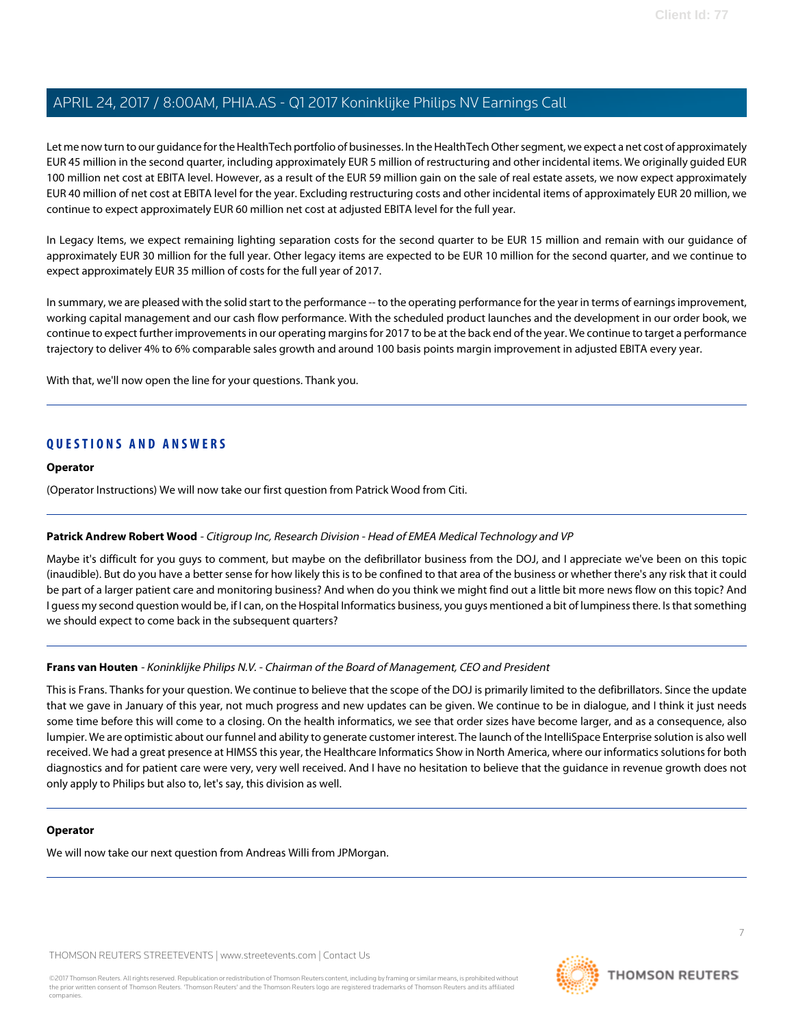Let me now turn to our guidance for the HealthTech portfolio of businesses. In the HealthTech Other segment, we expect a net cost of approximately EUR 45 million in the second quarter, including approximately EUR 5 million of restructuring and other incidental items. We originally guided EUR 100 million net cost at EBITA level. However, as a result of the EUR 59 million gain on the sale of real estate assets, we now expect approximately EUR 40 million of net cost at EBITA level for the year. Excluding restructuring costs and other incidental items of approximately EUR 20 million, we continue to expect approximately EUR 60 million net cost at adjusted EBITA level for the full year.

In Legacy Items, we expect remaining lighting separation costs for the second quarter to be EUR 15 million and remain with our guidance of approximately EUR 30 million for the full year. Other legacy items are expected to be EUR 10 million for the second quarter, and we continue to expect approximately EUR 35 million of costs for the full year of 2017.

In summary, we are pleased with the solid start to the performance -- to the operating performance for the year in terms of earnings improvement, working capital management and our cash flow performance. With the scheduled product launches and the development in our order book, we continue to expect further improvements in our operating margins for 2017 to be at the back end of the year. We continue to target a performance trajectory to deliver 4% to 6% comparable sales growth and around 100 basis points margin improvement in adjusted EBITA every year.

With that, we'll now open the line for your questions. Thank you.

# **QUESTIONS AND ANSWERS**

## **Operator**

<span id="page-6-0"></span>(Operator Instructions) We will now take our first question from Patrick Wood from Citi.

## **Patrick Andrew Robert Wood** - Citigroup Inc, Research Division - Head of EMEA Medical Technology and VP

Maybe it's difficult for you guys to comment, but maybe on the defibrillator business from the DOJ, and I appreciate we've been on this topic (inaudible). But do you have a better sense for how likely this is to be confined to that area of the business or whether there's any risk that it could be part of a larger patient care and monitoring business? And when do you think we might find out a little bit more news flow on this topic? And I guess my second question would be, if I can, on the Hospital Informatics business, you guys mentioned a bit of lumpiness there. Is that something we should expect to come back in the subsequent quarters?

# **Frans van Houten** - Koninklijke Philips N.V. - Chairman of the Board of Management, CEO and President

This is Frans. Thanks for your question. We continue to believe that the scope of the DOJ is primarily limited to the defibrillators. Since the update that we gave in January of this year, not much progress and new updates can be given. We continue to be in dialogue, and I think it just needs some time before this will come to a closing. On the health informatics, we see that order sizes have become larger, and as a consequence, also lumpier. We are optimistic about our funnel and ability to generate customer interest. The launch of the IntelliSpace Enterprise solution is also well received. We had a great presence at HIMSS this year, the Healthcare Informatics Show in North America, where our informatics solutions for both diagnostics and for patient care were very, very well received. And I have no hesitation to believe that the guidance in revenue growth does not only apply to Philips but also to, let's say, this division as well.

## **Operator**

We will now take our next question from Andreas Willi from JPMorgan.

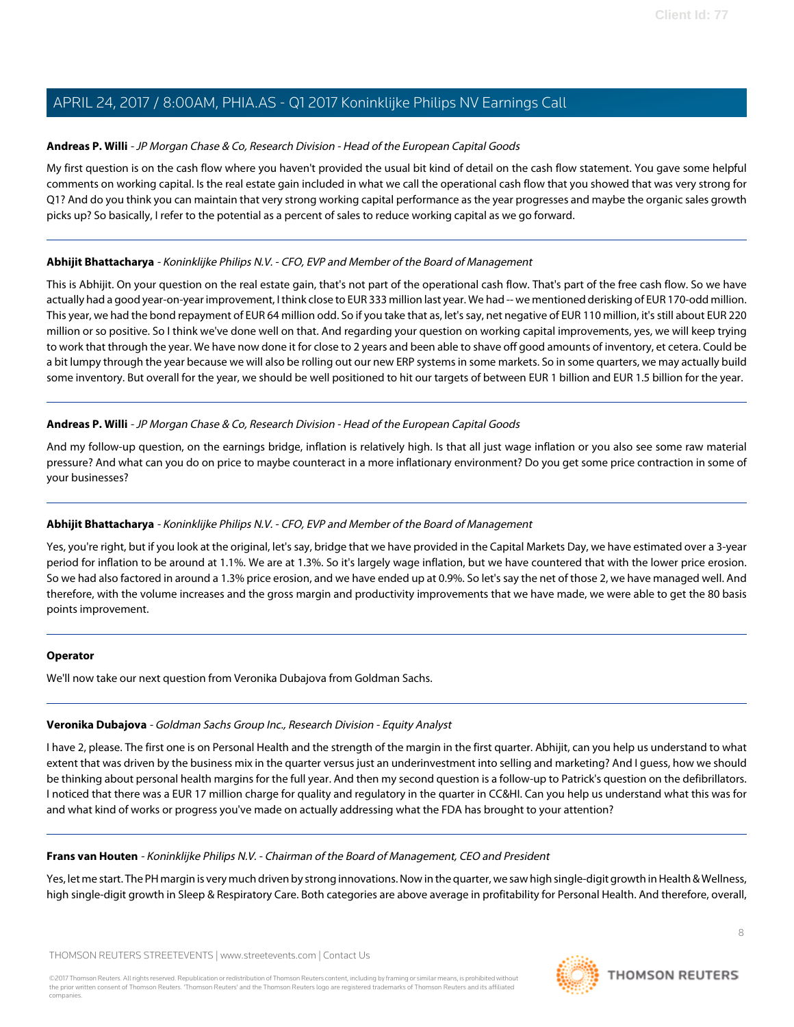# <span id="page-7-0"></span>**Andreas P. Willi** - JP Morgan Chase & Co, Research Division - Head of the European Capital Goods

My first question is on the cash flow where you haven't provided the usual bit kind of detail on the cash flow statement. You gave some helpful comments on working capital. Is the real estate gain included in what we call the operational cash flow that you showed that was very strong for Q1? And do you think you can maintain that very strong working capital performance as the year progresses and maybe the organic sales growth picks up? So basically, I refer to the potential as a percent of sales to reduce working capital as we go forward.

## **Abhijit Bhattacharya** - Koninklijke Philips N.V. - CFO, EVP and Member of the Board of Management

This is Abhijit. On your question on the real estate gain, that's not part of the operational cash flow. That's part of the free cash flow. So we have actually had a good year-on-year improvement, I think close to EUR 333 million last year. We had -- we mentioned derisking of EUR 170-odd million. This year, we had the bond repayment of EUR 64 million odd. So if you take that as, let's say, net negative of EUR 110 million, it's still about EUR 220 million or so positive. So I think we've done well on that. And regarding your question on working capital improvements, yes, we will keep trying to work that through the year. We have now done it for close to 2 years and been able to shave off good amounts of inventory, et cetera. Could be a bit lumpy through the year because we will also be rolling out our new ERP systems in some markets. So in some quarters, we may actually build some inventory. But overall for the year, we should be well positioned to hit our targets of between EUR 1 billion and EUR 1.5 billion for the year.

## **Andreas P. Willi** - JP Morgan Chase & Co, Research Division - Head of the European Capital Goods

And my follow-up question, on the earnings bridge, inflation is relatively high. Is that all just wage inflation or you also see some raw material pressure? And what can you do on price to maybe counteract in a more inflationary environment? Do you get some price contraction in some of your businesses?

# **Abhijit Bhattacharya** - Koninklijke Philips N.V. - CFO, EVP and Member of the Board of Management

Yes, you're right, but if you look at the original, let's say, bridge that we have provided in the Capital Markets Day, we have estimated over a 3-year period for inflation to be around at 1.1%. We are at 1.3%. So it's largely wage inflation, but we have countered that with the lower price erosion. So we had also factored in around a 1.3% price erosion, and we have ended up at 0.9%. So let's say the net of those 2, we have managed well. And therefore, with the volume increases and the gross margin and productivity improvements that we have made, we were able to get the 80 basis points improvement.

## <span id="page-7-1"></span>**Operator**

We'll now take our next question from Veronika Dubajova from Goldman Sachs.

# **Veronika Dubajova** - Goldman Sachs Group Inc., Research Division - Equity Analyst

I have 2, please. The first one is on Personal Health and the strength of the margin in the first quarter. Abhijit, can you help us understand to what extent that was driven by the business mix in the quarter versus just an underinvestment into selling and marketing? And I guess, how we should be thinking about personal health margins for the full year. And then my second question is a follow-up to Patrick's question on the defibrillators. I noticed that there was a EUR 17 million charge for quality and regulatory in the quarter in CC&HI. Can you help us understand what this was for and what kind of works or progress you've made on actually addressing what the FDA has brought to your attention?

## **Frans van Houten** - Koninklijke Philips N.V. - Chairman of the Board of Management, CEO and President

Yes, let me start. The PH margin is very much driven by strong innovations. Now in the quarter, we saw high single-digit growth in Health & Wellness, high single-digit growth in Sleep & Respiratory Care. Both categories are above average in profitability for Personal Health. And therefore, overall,

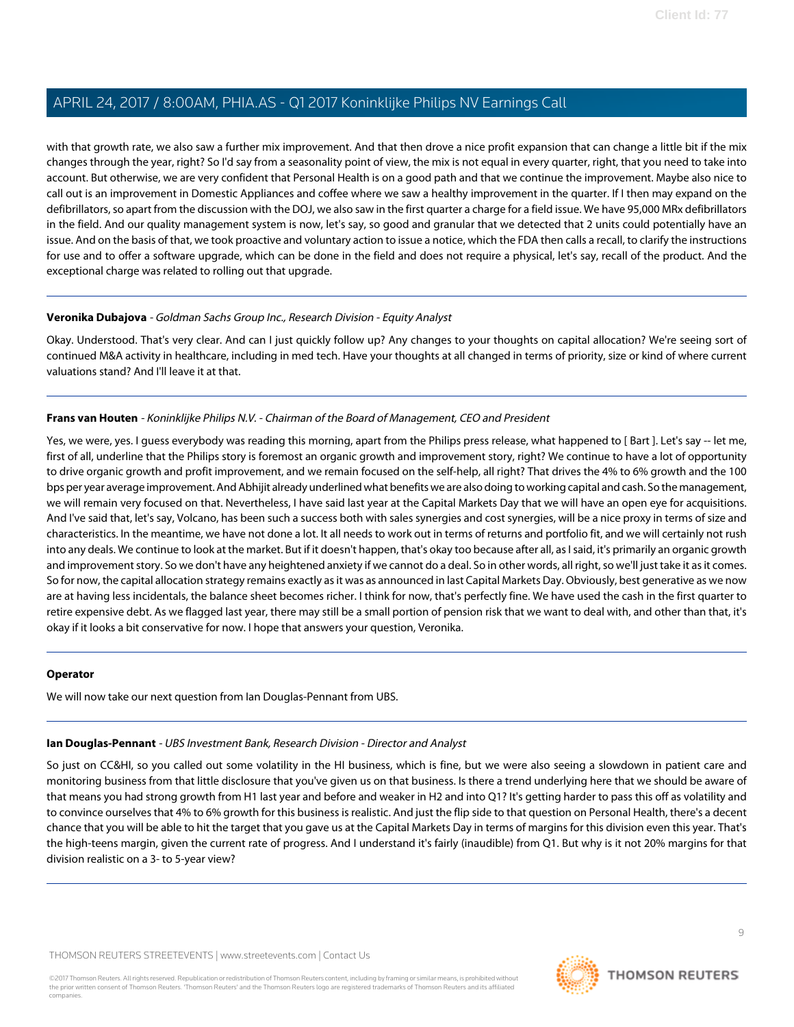with that growth rate, we also saw a further mix improvement. And that then drove a nice profit expansion that can change a little bit if the mix changes through the year, right? So I'd say from a seasonality point of view, the mix is not equal in every quarter, right, that you need to take into account. But otherwise, we are very confident that Personal Health is on a good path and that we continue the improvement. Maybe also nice to call out is an improvement in Domestic Appliances and coffee where we saw a healthy improvement in the quarter. If I then may expand on the defibrillators, so apart from the discussion with the DOJ, we also saw in the first quarter a charge for a field issue. We have 95,000 MRx defibrillators in the field. And our quality management system is now, let's say, so good and granular that we detected that 2 units could potentially have an issue. And on the basis of that, we took proactive and voluntary action to issue a notice, which the FDA then calls a recall, to clarify the instructions for use and to offer a software upgrade, which can be done in the field and does not require a physical, let's say, recall of the product. And the exceptional charge was related to rolling out that upgrade.

## **Veronika Dubajova** - Goldman Sachs Group Inc., Research Division - Equity Analyst

Okay. Understood. That's very clear. And can I just quickly follow up? Any changes to your thoughts on capital allocation? We're seeing sort of continued M&A activity in healthcare, including in med tech. Have your thoughts at all changed in terms of priority, size or kind of where current valuations stand? And I'll leave it at that.

## **Frans van Houten** - Koninklijke Philips N.V. - Chairman of the Board of Management, CEO and President

Yes, we were, yes. I quess everybody was reading this morning, apart from the Philips press release, what happened to [Bart]. Let's say -- let me, first of all, underline that the Philips story is foremost an organic growth and improvement story, right? We continue to have a lot of opportunity to drive organic growth and profit improvement, and we remain focused on the self-help, all right? That drives the 4% to 6% growth and the 100 bps per year average improvement. And Abhijit already underlined what benefits we are also doing to working capital and cash. So the management, we will remain very focused on that. Nevertheless, I have said last year at the Capital Markets Day that we will have an open eye for acquisitions. And I've said that, let's say, Volcano, has been such a success both with sales synergies and cost synergies, will be a nice proxy in terms of size and characteristics. In the meantime, we have not done a lot. It all needs to work out in terms of returns and portfolio fit, and we will certainly not rush into any deals. We continue to look at the market. But if it doesn't happen, that's okay too because after all, as I said, it's primarily an organic growth and improvement story. So we don't have any heightened anxiety if we cannot do a deal. So in other words, all right, so we'll just take it as it comes. So for now, the capital allocation strategy remains exactly as it was as announced in last Capital Markets Day. Obviously, best generative as we now are at having less incidentals, the balance sheet becomes richer. I think for now, that's perfectly fine. We have used the cash in the first quarter to retire expensive debt. As we flagged last year, there may still be a small portion of pension risk that we want to deal with, and other than that, it's okay if it looks a bit conservative for now. I hope that answers your question, Veronika.

## <span id="page-8-0"></span>**Operator**

We will now take our next question from Ian Douglas-Pennant from UBS.

# **Ian Douglas-Pennant** - UBS Investment Bank, Research Division - Director and Analyst

So just on CC&HI, so you called out some volatility in the HI business, which is fine, but we were also seeing a slowdown in patient care and monitoring business from that little disclosure that you've given us on that business. Is there a trend underlying here that we should be aware of that means you had strong growth from H1 last year and before and weaker in H2 and into Q1? It's getting harder to pass this off as volatility and to convince ourselves that 4% to 6% growth for this business is realistic. And just the flip side to that question on Personal Health, there's a decent chance that you will be able to hit the target that you gave us at the Capital Markets Day in terms of margins for this division even this year. That's the high-teens margin, given the current rate of progress. And I understand it's fairly (inaudible) from Q1. But why is it not 20% margins for that division realistic on a 3- to 5-year view?

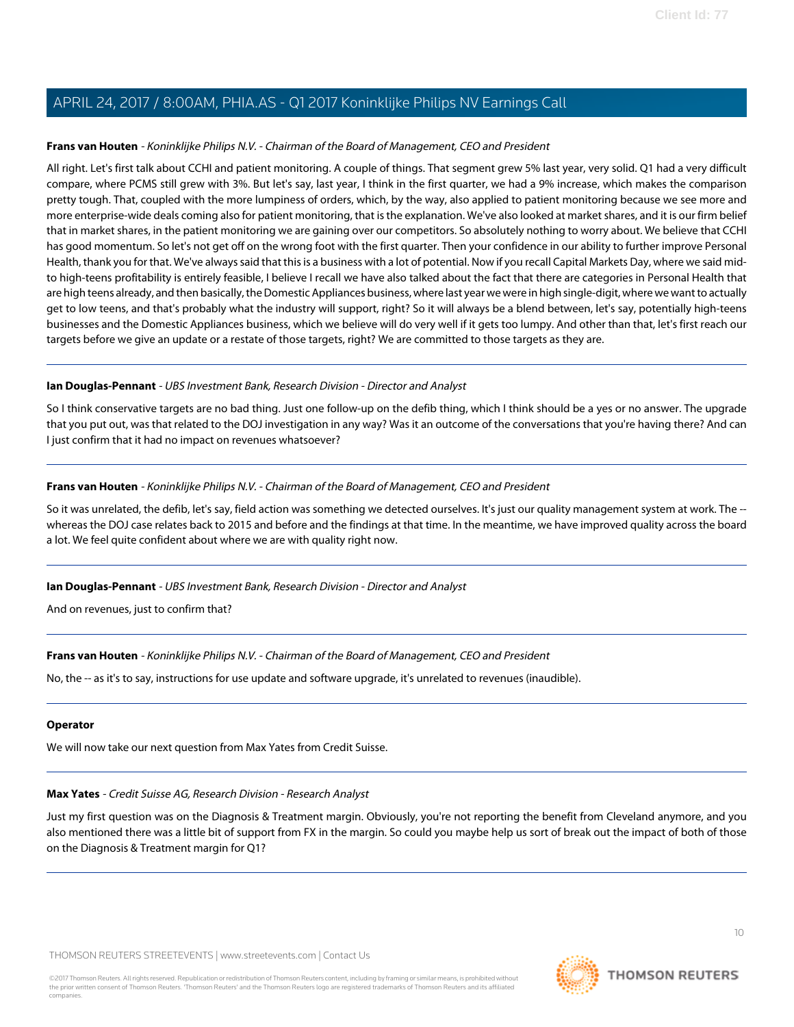## **Frans van Houten** - Koninklijke Philips N.V. - Chairman of the Board of Management, CEO and President

All right. Let's first talk about CCHI and patient monitoring. A couple of things. That segment grew 5% last year, very solid. Q1 had a very difficult compare, where PCMS still grew with 3%. But let's say, last year, I think in the first quarter, we had a 9% increase, which makes the comparison pretty tough. That, coupled with the more lumpiness of orders, which, by the way, also applied to patient monitoring because we see more and more enterprise-wide deals coming also for patient monitoring, that is the explanation. We've also looked at market shares, and it is our firm belief that in market shares, in the patient monitoring we are gaining over our competitors. So absolutely nothing to worry about. We believe that CCHI has good momentum. So let's not get off on the wrong foot with the first quarter. Then your confidence in our ability to further improve Personal Health, thank you for that. We've always said that this is a business with a lot of potential. Now if you recall Capital Markets Day, where we said midto high-teens profitability is entirely feasible, I believe I recall we have also talked about the fact that there are categories in Personal Health that are high teens already, and then basically, the Domestic Appliances business, where last year we were in high single-digit, where we want to actually get to low teens, and that's probably what the industry will support, right? So it will always be a blend between, let's say, potentially high-teens businesses and the Domestic Appliances business, which we believe will do very well if it gets too lumpy. And other than that, let's first reach our targets before we give an update or a restate of those targets, right? We are committed to those targets as they are.

## **Ian Douglas-Pennant** - UBS Investment Bank, Research Division - Director and Analyst

So I think conservative targets are no bad thing. Just one follow-up on the defib thing, which I think should be a yes or no answer. The upgrade that you put out, was that related to the DOJ investigation in any way? Was it an outcome of the conversations that you're having there? And can I just confirm that it had no impact on revenues whatsoever?

## **Frans van Houten** - Koninklijke Philips N.V. - Chairman of the Board of Management, CEO and President

So it was unrelated, the defib, let's say, field action was something we detected ourselves. It's just our quality management system at work. The - whereas the DOJ case relates back to 2015 and before and the findings at that time. In the meantime, we have improved quality across the board a lot. We feel quite confident about where we are with quality right now.

## **Ian Douglas-Pennant** - UBS Investment Bank, Research Division - Director and Analyst

And on revenues, just to confirm that?

## **Frans van Houten** - Koninklijke Philips N.V. - Chairman of the Board of Management, CEO and President

No, the -- as it's to say, instructions for use update and software upgrade, it's unrelated to revenues (inaudible).

## <span id="page-9-0"></span>**Operator**

We will now take our next question from Max Yates from Credit Suisse.

## **Max Yates** - Credit Suisse AG, Research Division - Research Analyst

Just my first question was on the Diagnosis & Treatment margin. Obviously, you're not reporting the benefit from Cleveland anymore, and you also mentioned there was a little bit of support from FX in the margin. So could you maybe help us sort of break out the impact of both of those on the Diagnosis & Treatment margin for Q1?

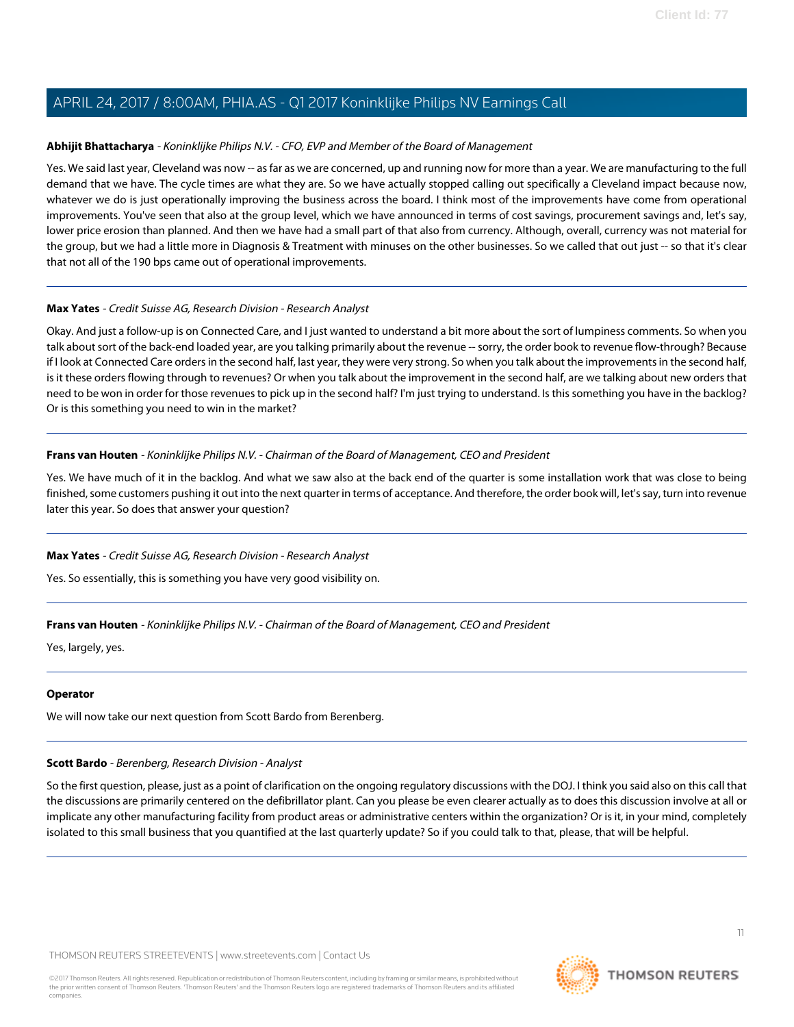## **Abhijit Bhattacharya** - Koninklijke Philips N.V. - CFO, EVP and Member of the Board of Management

Yes. We said last year, Cleveland was now -- as far as we are concerned, up and running now for more than a year. We are manufacturing to the full demand that we have. The cycle times are what they are. So we have actually stopped calling out specifically a Cleveland impact because now, whatever we do is just operationally improving the business across the board. I think most of the improvements have come from operational improvements. You've seen that also at the group level, which we have announced in terms of cost savings, procurement savings and, let's say, lower price erosion than planned. And then we have had a small part of that also from currency. Although, overall, currency was not material for the group, but we had a little more in Diagnosis & Treatment with minuses on the other businesses. So we called that out just -- so that it's clear that not all of the 190 bps came out of operational improvements.

## **Max Yates** - Credit Suisse AG, Research Division - Research Analyst

Okay. And just a follow-up is on Connected Care, and I just wanted to understand a bit more about the sort of lumpiness comments. So when you talk about sort of the back-end loaded year, are you talking primarily about the revenue -- sorry, the order book to revenue flow-through? Because if I look at Connected Care orders in the second half, last year, they were very strong. So when you talk about the improvements in the second half, is it these orders flowing through to revenues? Or when you talk about the improvement in the second half, are we talking about new orders that need to be won in order for those revenues to pick up in the second half? I'm just trying to understand. Is this something you have in the backlog? Or is this something you need to win in the market?

## **Frans van Houten** - Koninklijke Philips N.V. - Chairman of the Board of Management, CEO and President

Yes. We have much of it in the backlog. And what we saw also at the back end of the quarter is some installation work that was close to being finished, some customers pushing it out into the next quarter in terms of acceptance. And therefore, the order book will, let's say, turn into revenue later this year. So does that answer your question?

## **Max Yates** - Credit Suisse AG, Research Division - Research Analyst

Yes. So essentially, this is something you have very good visibility on.

# **Frans van Houten** - Koninklijke Philips N.V. - Chairman of the Board of Management, CEO and President

Yes, largely, yes.

## <span id="page-10-0"></span>**Operator**

We will now take our next question from Scott Bardo from Berenberg.

## **Scott Bardo** - Berenberg, Research Division - Analyst

So the first question, please, just as a point of clarification on the ongoing regulatory discussions with the DOJ. I think you said also on this call that the discussions are primarily centered on the defibrillator plant. Can you please be even clearer actually as to does this discussion involve at all or implicate any other manufacturing facility from product areas or administrative centers within the organization? Or is it, in your mind, completely isolated to this small business that you quantified at the last quarterly update? So if you could talk to that, please, that will be helpful.

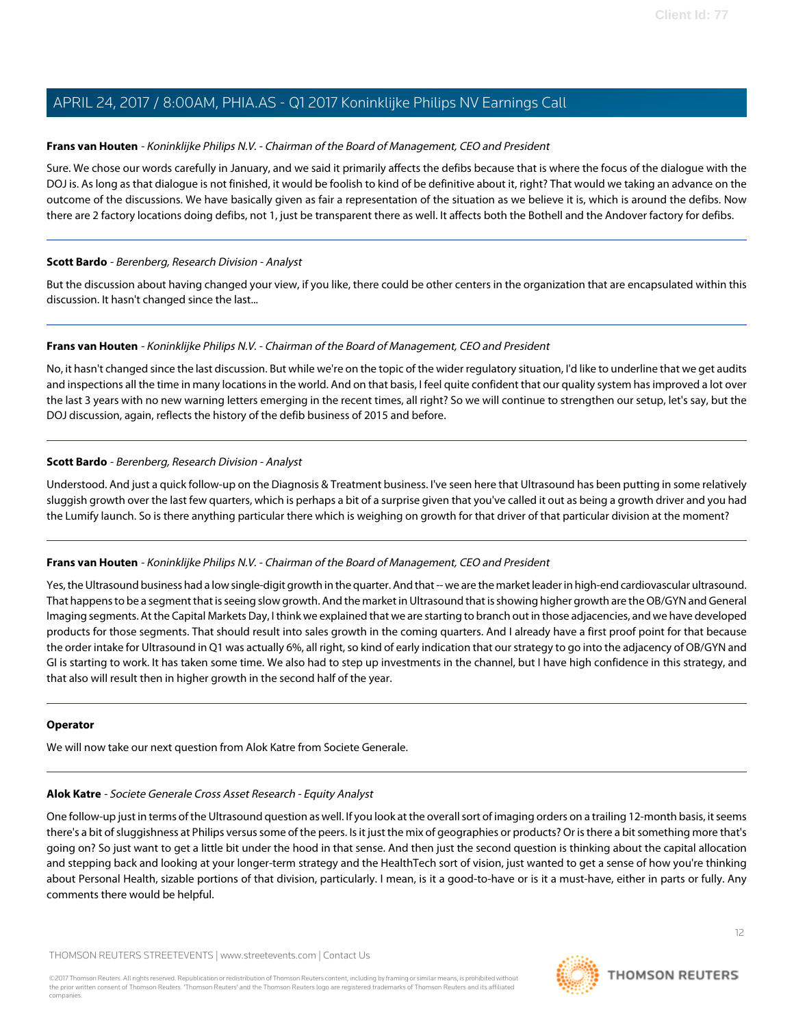## **Frans van Houten** - Koninklijke Philips N.V. - Chairman of the Board of Management, CEO and President

Sure. We chose our words carefully in January, and we said it primarily affects the defibs because that is where the focus of the dialogue with the DOJ is. As long as that dialogue is not finished, it would be foolish to kind of be definitive about it, right? That would we taking an advance on the outcome of the discussions. We have basically given as fair a representation of the situation as we believe it is, which is around the defibs. Now there are 2 factory locations doing defibs, not 1, just be transparent there as well. It affects both the Bothell and the Andover factory for defibs.

## **Scott Bardo** - Berenberg, Research Division - Analyst

But the discussion about having changed your view, if you like, there could be other centers in the organization that are encapsulated within this discussion. It hasn't changed since the last...

## **Frans van Houten** - Koninklijke Philips N.V. - Chairman of the Board of Management, CEO and President

No, it hasn't changed since the last discussion. But while we're on the topic of the wider regulatory situation, I'd like to underline that we get audits and inspections all the time in many locations in the world. And on that basis, I feel quite confident that our quality system has improved a lot over the last 3 years with no new warning letters emerging in the recent times, all right? So we will continue to strengthen our setup, let's say, but the DOJ discussion, again, reflects the history of the defib business of 2015 and before.

## **Scott Bardo** - Berenberg, Research Division - Analyst

Understood. And just a quick follow-up on the Diagnosis & Treatment business. I've seen here that Ultrasound has been putting in some relatively sluggish growth over the last few quarters, which is perhaps a bit of a surprise given that you've called it out as being a growth driver and you had the Lumify launch. So is there anything particular there which is weighing on growth for that driver of that particular division at the moment?

## **Frans van Houten** - Koninklijke Philips N.V. - Chairman of the Board of Management, CEO and President

Yes, the Ultrasound business had a low single-digit growth in the quarter. And that -- we are the market leader in high-end cardiovascular ultrasound. That happens to be a segment that is seeing slow growth. And the market in Ultrasound that is showing higher growth are the OB/GYN and General Imaging segments. At the Capital Markets Day, I think we explained that we are starting to branch out in those adjacencies, and we have developed products for those segments. That should result into sales growth in the coming quarters. And I already have a first proof point for that because the order intake for Ultrasound in Q1 was actually 6%, all right, so kind of early indication that our strategy to go into the adjacency of OB/GYN and GI is starting to work. It has taken some time. We also had to step up investments in the channel, but I have high confidence in this strategy, and that also will result then in higher growth in the second half of the year.

## <span id="page-11-0"></span>**Operator**

We will now take our next question from Alok Katre from Societe Generale.

## **Alok Katre** - Societe Generale Cross Asset Research - Equity Analyst

One follow-up just in terms of the Ultrasound question as well. If you look at the overall sort of imaging orders on a trailing 12-month basis, it seems there's a bit of sluggishness at Philips versus some of the peers. Is it just the mix of geographies or products? Or is there a bit something more that's going on? So just want to get a little bit under the hood in that sense. And then just the second question is thinking about the capital allocation and stepping back and looking at your longer-term strategy and the HealthTech sort of vision, just wanted to get a sense of how you're thinking about Personal Health, sizable portions of that division, particularly. I mean, is it a good-to-have or is it a must-have, either in parts or fully. Any comments there would be helpful.

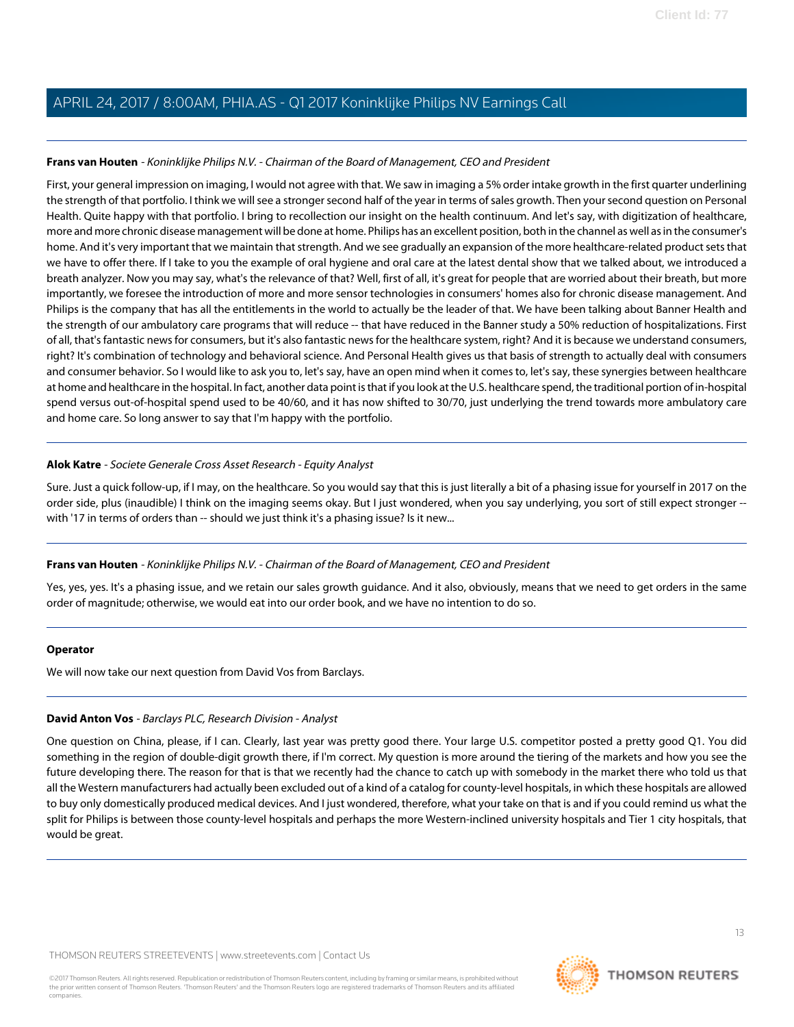# **Frans van Houten** - Koninklijke Philips N.V. - Chairman of the Board of Management, CEO and President

First, your general impression on imaging, I would not agree with that. We saw in imaging a 5% order intake growth in the first quarter underlining the strength of that portfolio. I think we will see a stronger second half of the year in terms of sales growth. Then your second question on Personal Health. Quite happy with that portfolio. I bring to recollection our insight on the health continuum. And let's say, with digitization of healthcare, more and more chronic disease management will be done at home. Philips has an excellent position, both in the channel as well as in the consumer's home. And it's very important that we maintain that strength. And we see gradually an expansion of the more healthcare-related product sets that we have to offer there. If I take to you the example of oral hygiene and oral care at the latest dental show that we talked about, we introduced a breath analyzer. Now you may say, what's the relevance of that? Well, first of all, it's great for people that are worried about their breath, but more importantly, we foresee the introduction of more and more sensor technologies in consumers' homes also for chronic disease management. And Philips is the company that has all the entitlements in the world to actually be the leader of that. We have been talking about Banner Health and the strength of our ambulatory care programs that will reduce -- that have reduced in the Banner study a 50% reduction of hospitalizations. First of all, that's fantastic news for consumers, but it's also fantastic news for the healthcare system, right? And it is because we understand consumers, right? It's combination of technology and behavioral science. And Personal Health gives us that basis of strength to actually deal with consumers and consumer behavior. So I would like to ask you to, let's say, have an open mind when it comes to, let's say, these synergies between healthcare at home and healthcare in the hospital. In fact, another data point is that if you look at the U.S. healthcare spend, the traditional portion of in-hospital spend versus out-of-hospital spend used to be 40/60, and it has now shifted to 30/70, just underlying the trend towards more ambulatory care and home care. So long answer to say that I'm happy with the portfolio.

## **Alok Katre** - Societe Generale Cross Asset Research - Equity Analyst

Sure. Just a quick follow-up, if I may, on the healthcare. So you would say that this is just literally a bit of a phasing issue for yourself in 2017 on the order side, plus (inaudible) I think on the imaging seems okay. But I just wondered, when you say underlying, you sort of still expect stronger - with '17 in terms of orders than -- should we just think it's a phasing issue? Is it new...

## **Frans van Houten** - Koninklijke Philips N.V. - Chairman of the Board of Management, CEO and President

Yes, yes, yes. It's a phasing issue, and we retain our sales growth guidance. And it also, obviously, means that we need to get orders in the same order of magnitude; otherwise, we would eat into our order book, and we have no intention to do so.

## <span id="page-12-0"></span>**Operator**

We will now take our next question from David Vos from Barclays.

# **David Anton Vos** - Barclays PLC, Research Division - Analyst

One question on China, please, if I can. Clearly, last year was pretty good there. Your large U.S. competitor posted a pretty good Q1. You did something in the region of double-digit growth there, if I'm correct. My question is more around the tiering of the markets and how you see the future developing there. The reason for that is that we recently had the chance to catch up with somebody in the market there who told us that all the Western manufacturers had actually been excluded out of a kind of a catalog for county-level hospitals, in which these hospitals are allowed to buy only domestically produced medical devices. And I just wondered, therefore, what your take on that is and if you could remind us what the split for Philips is between those county-level hospitals and perhaps the more Western-inclined university hospitals and Tier 1 city hospitals, that would be great.

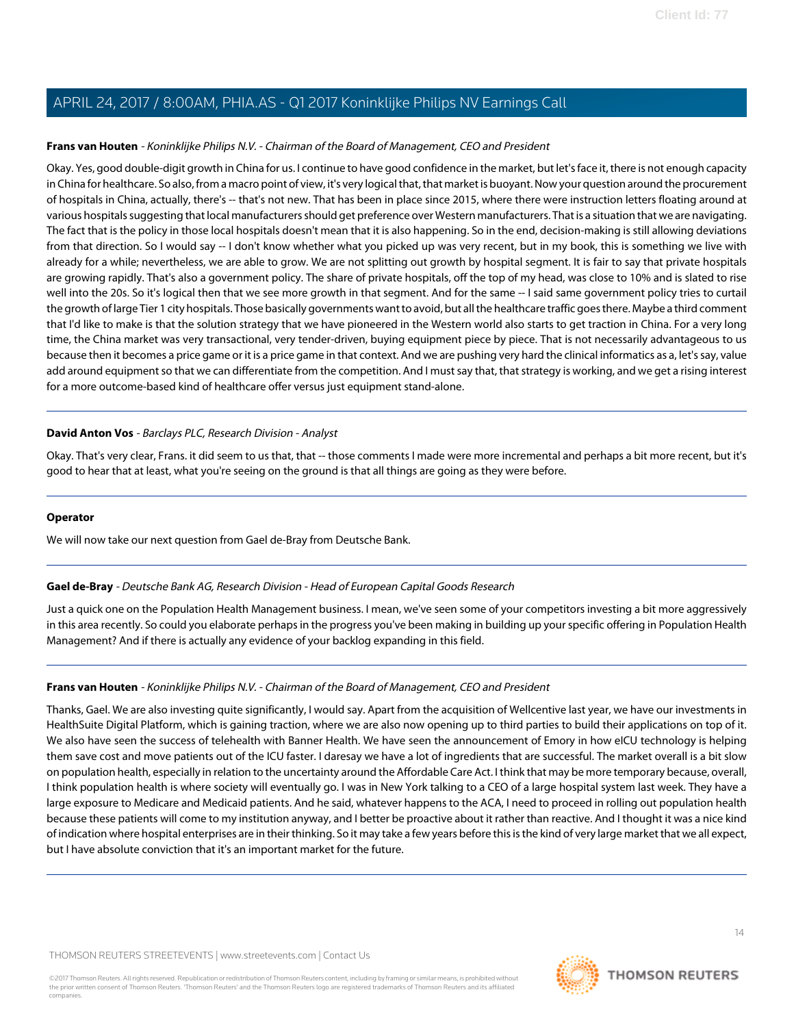## **Frans van Houten** - Koninklijke Philips N.V. - Chairman of the Board of Management, CEO and President

Okay. Yes, good double-digit growth in China for us. I continue to have good confidence in the market, but let's face it, there is not enough capacity in China for healthcare. So also, from a macro point of view, it's very logical that, that market is buoyant. Now your question around the procurement of hospitals in China, actually, there's -- that's not new. That has been in place since 2015, where there were instruction letters floating around at various hospitals suggesting that local manufacturers should get preference over Western manufacturers. That is a situation that we are navigating. The fact that is the policy in those local hospitals doesn't mean that it is also happening. So in the end, decision-making is still allowing deviations from that direction. So I would say -- I don't know whether what you picked up was very recent, but in my book, this is something we live with already for a while; nevertheless, we are able to grow. We are not splitting out growth by hospital segment. It is fair to say that private hospitals are growing rapidly. That's also a government policy. The share of private hospitals, off the top of my head, was close to 10% and is slated to rise well into the 20s. So it's logical then that we see more growth in that segment. And for the same -- I said same government policy tries to curtail the growth of large Tier 1 city hospitals. Those basically governments want to avoid, but all the healthcare traffic goes there. Maybe a third comment that I'd like to make is that the solution strategy that we have pioneered in the Western world also starts to get traction in China. For a very long time, the China market was very transactional, very tender-driven, buying equipment piece by piece. That is not necessarily advantageous to us because then it becomes a price game or it is a price game in that context. And we are pushing very hard the clinical informatics as a, let's say, value add around equipment so that we can differentiate from the competition. And I must say that, that strategy is working, and we get a rising interest for a more outcome-based kind of healthcare offer versus just equipment stand-alone.

## **David Anton Vos** - Barclays PLC, Research Division - Analyst

Okay. That's very clear, Frans. it did seem to us that, that -- those comments I made were more incremental and perhaps a bit more recent, but it's good to hear that at least, what you're seeing on the ground is that all things are going as they were before.

#### <span id="page-13-0"></span>**Operator**

We will now take our next question from Gael de-Bray from Deutsche Bank.

## **Gael de-Bray** - Deutsche Bank AG, Research Division - Head of European Capital Goods Research

Just a quick one on the Population Health Management business. I mean, we've seen some of your competitors investing a bit more aggressively in this area recently. So could you elaborate perhaps in the progress you've been making in building up your specific offering in Population Health Management? And if there is actually any evidence of your backlog expanding in this field.

## **Frans van Houten** - Koninklijke Philips N.V. - Chairman of the Board of Management, CEO and President

Thanks, Gael. We are also investing quite significantly, I would say. Apart from the acquisition of Wellcentive last year, we have our investments in HealthSuite Digital Platform, which is gaining traction, where we are also now opening up to third parties to build their applications on top of it. We also have seen the success of telehealth with Banner Health. We have seen the announcement of Emory in how eICU technology is helping them save cost and move patients out of the ICU faster. I daresay we have a lot of ingredients that are successful. The market overall is a bit slow on population health, especially in relation to the uncertainty around the Affordable Care Act. I think that may be more temporary because, overall, I think population health is where society will eventually go. I was in New York talking to a CEO of a large hospital system last week. They have a large exposure to Medicare and Medicaid patients. And he said, whatever happens to the ACA, I need to proceed in rolling out population health because these patients will come to my institution anyway, and I better be proactive about it rather than reactive. And I thought it was a nice kind of indication where hospital enterprises are in their thinking. So it may take a few years before this is the kind of very large market that we all expect, but I have absolute conviction that it's an important market for the future.

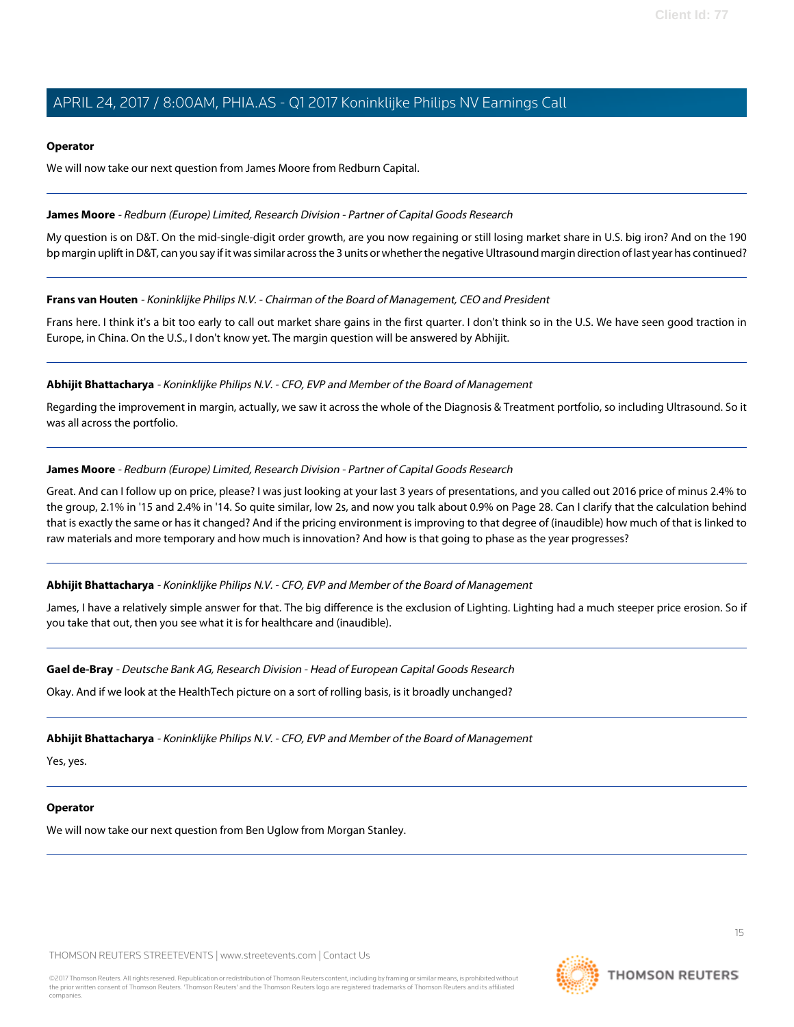## **Operator**

We will now take our next question from James Moore from Redburn Capital.

## <span id="page-14-0"></span>**James Moore** - Redburn (Europe) Limited, Research Division - Partner of Capital Goods Research

My question is on D&T. On the mid-single-digit order growth, are you now regaining or still losing market share in U.S. big iron? And on the 190 bp margin uplift in D&T, can you say if it was similar across the 3 units or whether the negative Ultrasound margin direction of last year has continued?

## **Frans van Houten** - Koninklijke Philips N.V. - Chairman of the Board of Management, CEO and President

Frans here. I think it's a bit too early to call out market share gains in the first quarter. I don't think so in the U.S. We have seen good traction in Europe, in China. On the U.S., I don't know yet. The margin question will be answered by Abhijit.

## **Abhijit Bhattacharya** - Koninklijke Philips N.V. - CFO, EVP and Member of the Board of Management

Regarding the improvement in margin, actually, we saw it across the whole of the Diagnosis & Treatment portfolio, so including Ultrasound. So it was all across the portfolio.

## **James Moore** - Redburn (Europe) Limited, Research Division - Partner of Capital Goods Research

Great. And can I follow up on price, please? I was just looking at your last 3 years of presentations, and you called out 2016 price of minus 2.4% to the group, 2.1% in '15 and 2.4% in '14. So quite similar, low 2s, and now you talk about 0.9% on Page 28. Can I clarify that the calculation behind that is exactly the same or has it changed? And if the pricing environment is improving to that degree of (inaudible) how much of that is linked to raw materials and more temporary and how much is innovation? And how is that going to phase as the year progresses?

# **Abhijit Bhattacharya** - Koninklijke Philips N.V. - CFO, EVP and Member of the Board of Management

James, I have a relatively simple answer for that. The big difference is the exclusion of Lighting. Lighting had a much steeper price erosion. So if you take that out, then you see what it is for healthcare and (inaudible).

## **Gael de-Bray** - Deutsche Bank AG, Research Division - Head of European Capital Goods Research

Okay. And if we look at the HealthTech picture on a sort of rolling basis, is it broadly unchanged?

**Abhijit Bhattacharya** - Koninklijke Philips N.V. - CFO, EVP and Member of the Board of Management

Yes, yes.

## **Operator**

We will now take our next question from Ben Uglow from Morgan Stanley.

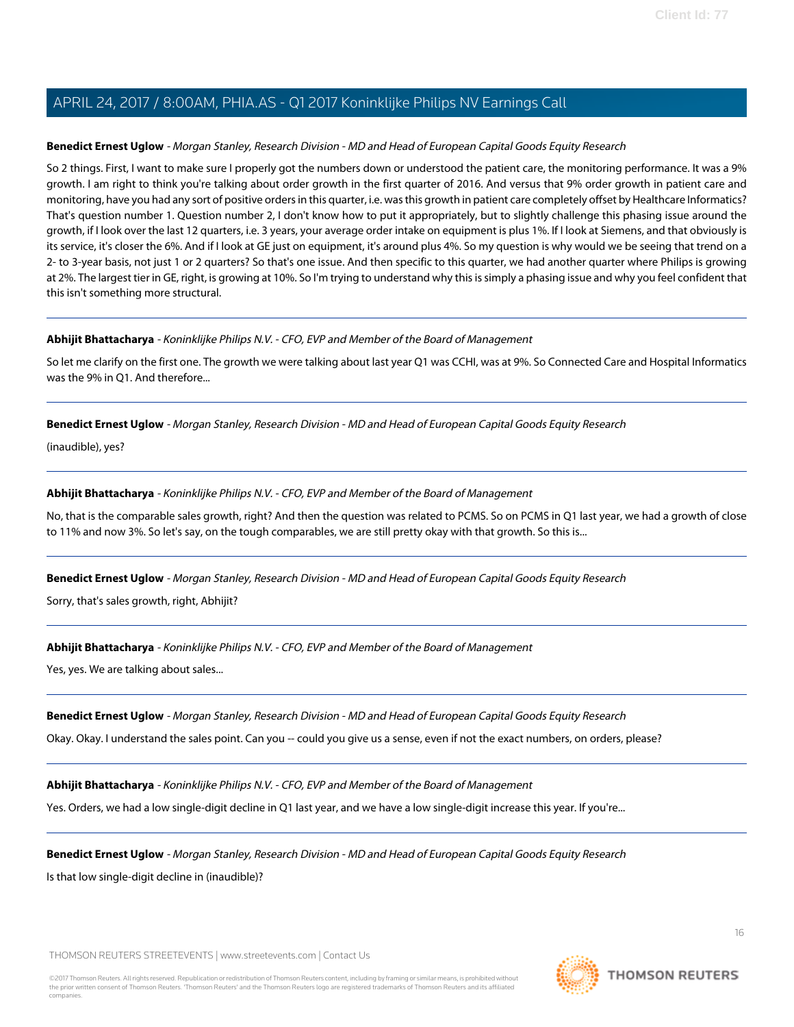## <span id="page-15-0"></span>**Benedict Ernest Uglow** - Morgan Stanley, Research Division - MD and Head of European Capital Goods Equity Research

So 2 things. First, I want to make sure I properly got the numbers down or understood the patient care, the monitoring performance. It was a 9% growth. I am right to think you're talking about order growth in the first quarter of 2016. And versus that 9% order growth in patient care and monitoring, have you had any sort of positive orders in this quarter, i.e. was this growth in patient care completely offset by Healthcare Informatics? That's question number 1. Question number 2, I don't know how to put it appropriately, but to slightly challenge this phasing issue around the growth, if I look over the last 12 quarters, i.e. 3 years, your average order intake on equipment is plus 1%. If I look at Siemens, and that obviously is its service, it's closer the 6%. And if I look at GE just on equipment, it's around plus 4%. So my question is why would we be seeing that trend on a 2- to 3-year basis, not just 1 or 2 quarters? So that's one issue. And then specific to this quarter, we had another quarter where Philips is growing at 2%. The largest tier in GE, right, is growing at 10%. So I'm trying to understand why this is simply a phasing issue and why you feel confident that this isn't something more structural.

## **Abhijit Bhattacharya** - Koninklijke Philips N.V. - CFO, EVP and Member of the Board of Management

So let me clarify on the first one. The growth we were talking about last year Q1 was CCHI, was at 9%. So Connected Care and Hospital Informatics was the 9% in Q1. And therefore...

**Benedict Ernest Uglow** - Morgan Stanley, Research Division - MD and Head of European Capital Goods Equity Research

(inaudible), yes?

## **Abhijit Bhattacharya** - Koninklijke Philips N.V. - CFO, EVP and Member of the Board of Management

No, that is the comparable sales growth, right? And then the question was related to PCMS. So on PCMS in Q1 last year, we had a growth of close to 11% and now 3%. So let's say, on the tough comparables, we are still pretty okay with that growth. So this is...

**Benedict Ernest Uglow** - Morgan Stanley, Research Division - MD and Head of European Capital Goods Equity Research

Sorry, that's sales growth, right, Abhijit?

## **Abhijit Bhattacharya** - Koninklijke Philips N.V. - CFO, EVP and Member of the Board of Management

Yes, yes. We are talking about sales...

**Benedict Ernest Uglow** - Morgan Stanley, Research Division - MD and Head of European Capital Goods Equity Research

Okay. Okay. I understand the sales point. Can you -- could you give us a sense, even if not the exact numbers, on orders, please?

# **Abhijit Bhattacharya** - Koninklijke Philips N.V. - CFO, EVP and Member of the Board of Management

Yes. Orders, we had a low single-digit decline in Q1 last year, and we have a low single-digit increase this year. If you're...

**Benedict Ernest Uglow** - Morgan Stanley, Research Division - MD and Head of European Capital Goods Equity Research

Is that low single-digit decline in (inaudible)?

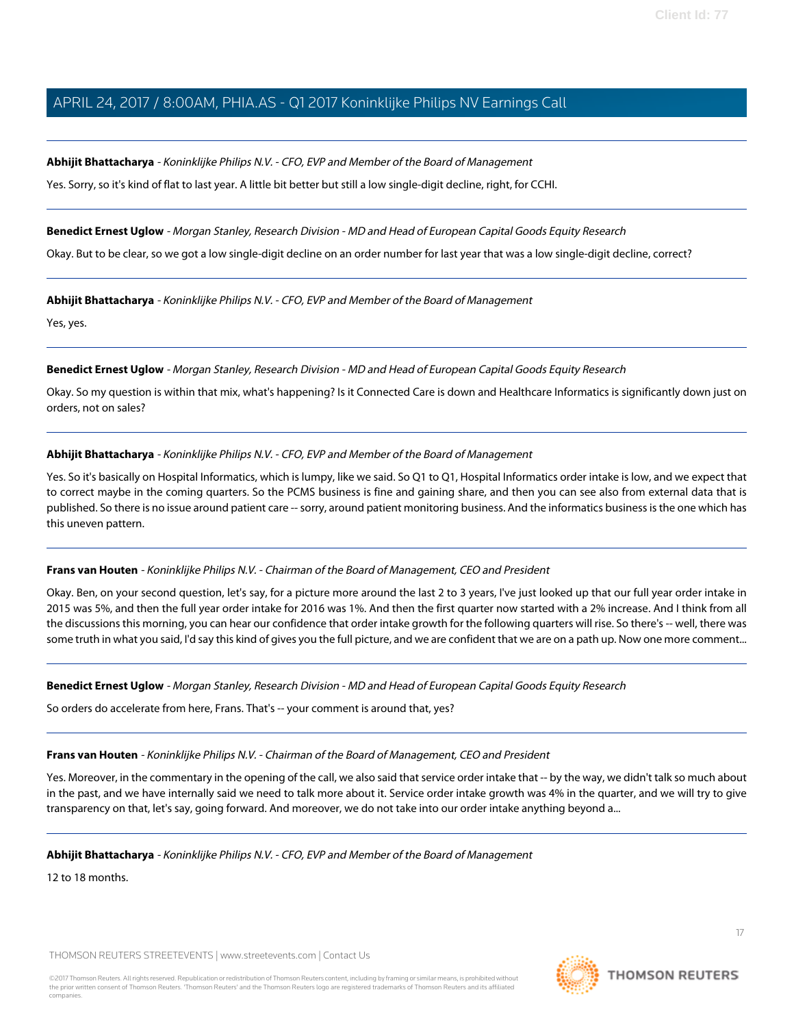# **Abhijit Bhattacharya** - Koninklijke Philips N.V. - CFO, EVP and Member of the Board of Management

Yes. Sorry, so it's kind of flat to last year. A little bit better but still a low single-digit decline, right, for CCHI.

# **Benedict Ernest Uglow** - Morgan Stanley, Research Division - MD and Head of European Capital Goods Equity Research

Okay. But to be clear, so we got a low single-digit decline on an order number for last year that was a low single-digit decline, correct?

# **Abhijit Bhattacharya** - Koninklijke Philips N.V. - CFO, EVP and Member of the Board of Management

Yes, yes.

# **Benedict Ernest Uglow** - Morgan Stanley, Research Division - MD and Head of European Capital Goods Equity Research

Okay. So my question is within that mix, what's happening? Is it Connected Care is down and Healthcare Informatics is significantly down just on orders, not on sales?

# **Abhijit Bhattacharya** - Koninklijke Philips N.V. - CFO, EVP and Member of the Board of Management

Yes. So it's basically on Hospital Informatics, which is lumpy, like we said. So Q1 to Q1, Hospital Informatics order intake is low, and we expect that to correct maybe in the coming quarters. So the PCMS business is fine and gaining share, and then you can see also from external data that is published. So there is no issue around patient care -- sorry, around patient monitoring business. And the informatics business is the one which has this uneven pattern.

# **Frans van Houten** - Koninklijke Philips N.V. - Chairman of the Board of Management, CEO and President

Okay. Ben, on your second question, let's say, for a picture more around the last 2 to 3 years, I've just looked up that our full year order intake in 2015 was 5%, and then the full year order intake for 2016 was 1%. And then the first quarter now started with a 2% increase. And I think from all the discussions this morning, you can hear our confidence that order intake growth for the following quarters will rise. So there's -- well, there was some truth in what you said, I'd say this kind of gives you the full picture, and we are confident that we are on a path up. Now one more comment...

# **Benedict Ernest Uglow** - Morgan Stanley, Research Division - MD and Head of European Capital Goods Equity Research

So orders do accelerate from here, Frans. That's -- your comment is around that, yes?

# **Frans van Houten** - Koninklijke Philips N.V. - Chairman of the Board of Management, CEO and President

Yes. Moreover, in the commentary in the opening of the call, we also said that service order intake that -- by the way, we didn't talk so much about in the past, and we have internally said we need to talk more about it. Service order intake growth was 4% in the quarter, and we will try to give transparency on that, let's say, going forward. And moreover, we do not take into our order intake anything beyond a...

# **Abhijit Bhattacharya** - Koninklijke Philips N.V. - CFO, EVP and Member of the Board of Management

12 to 18 months.

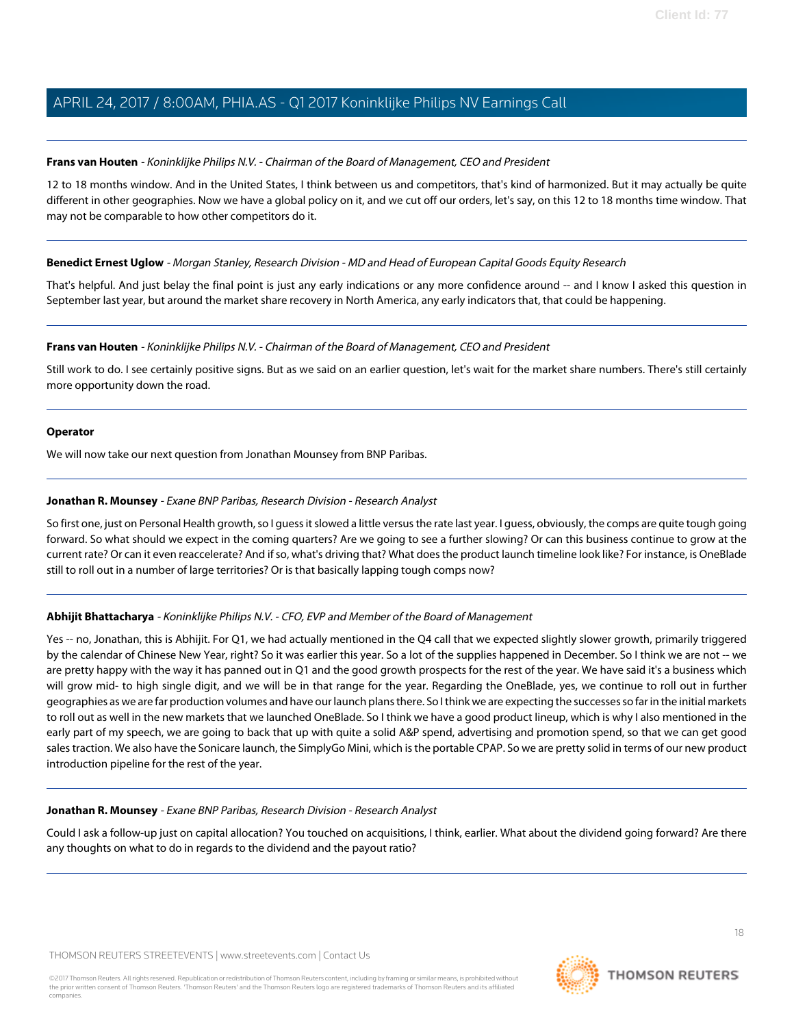## **Frans van Houten** - Koninklijke Philips N.V. - Chairman of the Board of Management, CEO and President

12 to 18 months window. And in the United States, I think between us and competitors, that's kind of harmonized. But it may actually be quite different in other geographies. Now we have a global policy on it, and we cut off our orders, let's say, on this 12 to 18 months time window. That may not be comparable to how other competitors do it.

**Benedict Ernest Uglow** - Morgan Stanley, Research Division - MD and Head of European Capital Goods Equity Research

That's helpful. And just belay the final point is just any early indications or any more confidence around -- and I know I asked this question in September last year, but around the market share recovery in North America, any early indicators that, that could be happening.

## **Frans van Houten** - Koninklijke Philips N.V. - Chairman of the Board of Management, CEO and President

Still work to do. I see certainly positive signs. But as we said on an earlier question, let's wait for the market share numbers. There's still certainly more opportunity down the road.

## **Operator**

<span id="page-17-0"></span>We will now take our next question from Jonathan Mounsey from BNP Paribas.

## **Jonathan R. Mounsey** - Exane BNP Paribas, Research Division - Research Analyst

So first one, just on Personal Health growth, so I guess it slowed a little versus the rate last year. I guess, obviously, the comps are quite tough going forward. So what should we expect in the coming quarters? Are we going to see a further slowing? Or can this business continue to grow at the current rate? Or can it even reaccelerate? And if so, what's driving that? What does the product launch timeline look like? For instance, is OneBlade still to roll out in a number of large territories? Or is that basically lapping tough comps now?

# **Abhijit Bhattacharya** - Koninklijke Philips N.V. - CFO, EVP and Member of the Board of Management

Yes -- no, Jonathan, this is Abhijit. For Q1, we had actually mentioned in the Q4 call that we expected slightly slower growth, primarily triggered by the calendar of Chinese New Year, right? So it was earlier this year. So a lot of the supplies happened in December. So I think we are not -- we are pretty happy with the way it has panned out in Q1 and the good growth prospects for the rest of the year. We have said it's a business which will grow mid- to high single digit, and we will be in that range for the year. Regarding the OneBlade, yes, we continue to roll out in further geographies as we are far production volumes and have our launch plans there. So I think we are expecting the successes so far in the initial markets to roll out as well in the new markets that we launched OneBlade. So I think we have a good product lineup, which is why I also mentioned in the early part of my speech, we are going to back that up with quite a solid A&P spend, advertising and promotion spend, so that we can get good sales traction. We also have the Sonicare launch, the SimplyGo Mini, which is the portable CPAP. So we are pretty solid in terms of our new product introduction pipeline for the rest of the year.

# **Jonathan R. Mounsey** - Exane BNP Paribas, Research Division - Research Analyst

Could I ask a follow-up just on capital allocation? You touched on acquisitions, I think, earlier. What about the dividend going forward? Are there any thoughts on what to do in regards to the dividend and the payout ratio?